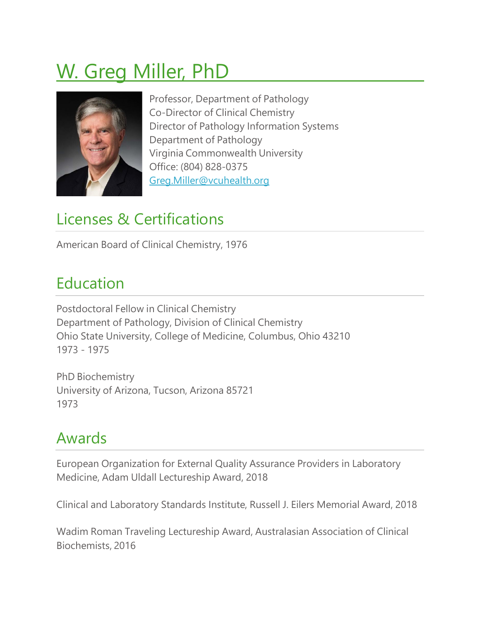# W. Greg Miller, PhD



Professor, Department of Pathology Co-Director of Clinical Chemistry Director of Pathology Information Systems Department of Pathology Virginia Commonwealth University Office: (804) 828-0375 [Greg.Miller@vcuhealth.org](mailto:Greg.Miller@vcuhealth.org)

# Licenses & Certifications

American Board of Clinical Chemistry, 1976

# Education

Postdoctoral Fellow in Clinical Chemistry Department of Pathology, Division of Clinical Chemistry Ohio State University, College of Medicine, Columbus, Ohio 43210 1973 - 1975

PhD Biochemistry University of Arizona, Tucson, Arizona 85721 1973

# Awards

European Organization for External Quality Assurance Providers in Laboratory Medicine, Adam Uldall Lectureship Award, 2018

Clinical and Laboratory Standards Institute, Russell J. Eilers Memorial Award, 2018

Wadim Roman Traveling Lectureship Award, Australasian Association of Clinical Biochemists, 2016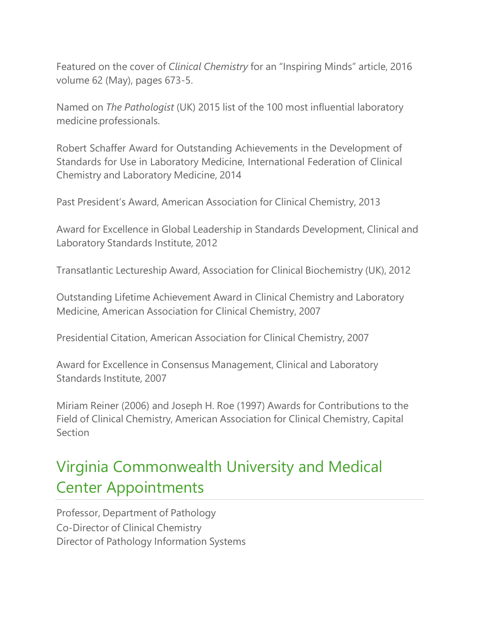Featured on the cover of *Clinical Chemistry* for an "Inspiring Minds" article, 2016 volume 62 (May), pages 673-5.

Named on *The Pathologist* (UK) 2015 list of the 100 most influential laboratory medicine professionals.

Robert Schaffer Award for Outstanding Achievements in the Development of Standards for Use in Laboratory Medicine, International Federation of Clinical Chemistry and Laboratory Medicine, 2014

Past President's Award, American Association for Clinical Chemistry, 2013

Award for Excellence in Global Leadership in Standards Development, Clinical and Laboratory Standards Institute, 2012

Transatlantic Lectureship Award, Association for Clinical Biochemistry (UK), 2012

Outstanding Lifetime Achievement Award in Clinical Chemistry and Laboratory Medicine, American Association for Clinical Chemistry, 2007

Presidential Citation, American Association for Clinical Chemistry, 2007

Award for Excellence in Consensus Management, Clinical and Laboratory Standards Institute, 2007

Miriam Reiner (2006) and Joseph H. Roe (1997) Awards for Contributions to the Field of Clinical Chemistry, American Association for Clinical Chemistry, Capital **Section** 

# Virginia Commonwealth University and Medical Center Appointments

Professor, Department of Pathology Co-Director of Clinical Chemistry Director of Pathology Information Systems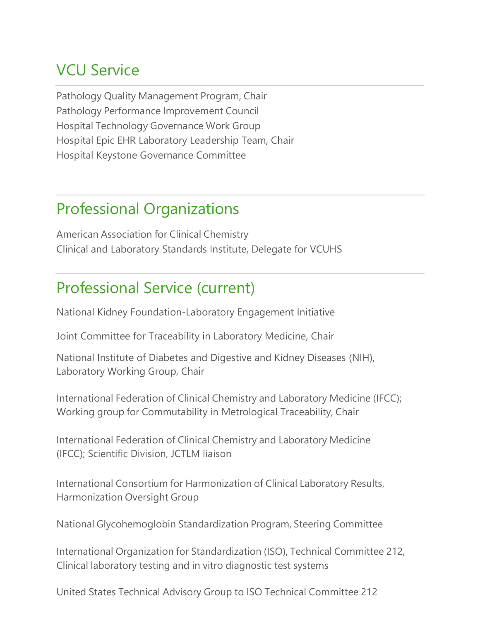#### VCU Service

Pathology Quality Management Program, Chair Pathology Performance Improvement Council Hospital Technology Governance Work Group Hospital Epic EHR Laboratory Leadership Team, Chair Hospital Keystone Governance Committee

#### Professional Organizations

American Association for Clinical Chemistry Clinical and Laboratory Standards Institute, Delegate for VCUHS

#### Professional Service (current)

National Kidney Foundation-Laboratory Engagement Initiative

Joint Committee for Traceability in Laboratory Medicine, Chair

National Institute of Diabetes and Digestive and Kidney Diseases (NIH), Laboratory Working Group, Chair

International Federation of Clinical Chemistry and Laboratory Medicine (IFCC); Working group for Commutability in Metrological Traceability, Chair

International Federation of Clinical Chemistry and Laboratory Medicine (IFCC); Scientific Division, JCTLM liaison

International Consortium for Harmonization of Clinical Laboratory Results, Harmonization Oversight Group

National Glycohemoglobin Standardization Program, Steering Committee

International Organization for Standardization (ISO), Technical Committee 212, Clinical laboratory testing and in vitro diagnostic test systems

United States Technical Advisory Group to ISO Technical Committee 212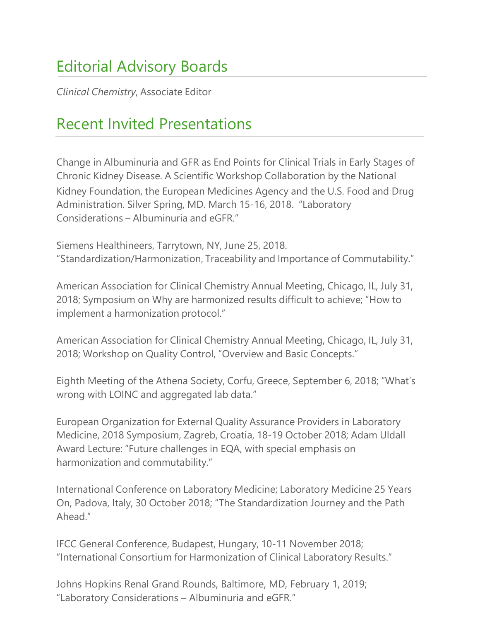# Editorial Advisory Boards

*Clinical Chemistry*, Associate Editor

#### Recent Invited Presentations

Change in Albuminuria and GFR as End Points for Clinical Trials in Early Stages of Chronic Kidney Disease. A Scientific Workshop Collaboration by the National Kidney Foundation, the European Medicines Agency and the U.S. Food and Drug Administration. Silver Spring, MD. March 15-16, 2018. "Laboratory Considerations – Albuminuria and eGFR."

Siemens Healthineers, Tarrytown, NY, June 25, 2018. "Standardization/Harmonization, Traceability and Importance of Commutability."

American Association for Clinical Chemistry Annual Meeting, Chicago, IL, July 31, 2018; Symposium on Why are harmonized results difficult to achieve; "How to implement a harmonization protocol."

American Association for Clinical Chemistry Annual Meeting, Chicago, IL, July 31, 2018; Workshop on Quality Control, "Overview and Basic Concepts."

Eighth Meeting of the Athena Society, Corfu, Greece, September 6, 2018; "What's wrong with LOINC and aggregated lab data."

European Organization for External Quality Assurance Providers in Laboratory Medicine, 2018 Symposium, Zagreb, Croatia, 18-19 October 2018; Adam Uldall Award Lecture: "Future challenges in EQA, with special emphasis on harmonization and commutability."

International Conference on Laboratory Medicine; Laboratory Medicine 25 Years On, Padova, Italy, 30 October 2018; "The Standardization Journey and the Path Ahead."

IFCC General Conference, Budapest, Hungary, 10-11 November 2018; "International Consortium for Harmonization of Clinical Laboratory Results."

Johns Hopkins Renal Grand Rounds, Baltimore, MD, February 1, 2019; "Laboratory Considerations – Albuminuria and eGFR."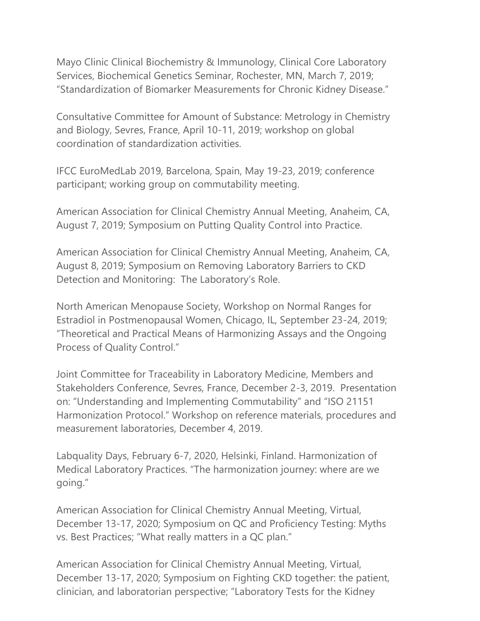Mayo Clinic Clinical Biochemistry & Immunology, Clinical Core Laboratory Services, Biochemical Genetics Seminar, Rochester, MN, March 7, 2019; "Standardization of Biomarker Measurements for Chronic Kidney Disease."

Consultative Committee for Amount of Substance: Metrology in Chemistry and Biology, Sevres, France, April 10-11, 2019; workshop on global coordination of standardization activities.

IFCC EuroMedLab 2019, Barcelona, Spain, May 19-23, 2019; conference participant; working group on commutability meeting.

American Association for Clinical Chemistry Annual Meeting, Anaheim, CA, August 7, 2019; Symposium on Putting Quality Control into Practice.

American Association for Clinical Chemistry Annual Meeting, Anaheim, CA, August 8, 2019; Symposium on Removing Laboratory Barriers to CKD Detection and Monitoring: The Laboratory's Role.

North American Menopause Society, Workshop on Normal Ranges for Estradiol in Postmenopausal Women, Chicago, IL, September 23-24, 2019; "Theoretical and Practical Means of Harmonizing Assays and the Ongoing Process of Quality Control."

Joint Committee for Traceability in Laboratory Medicine, Members and Stakeholders Conference, Sevres, France, December 2-3, 2019. Presentation on: "Understanding and Implementing Commutability" and "ISO 21151 Harmonization Protocol." Workshop on reference materials, procedures and measurement laboratories, December 4, 2019.

Labquality Days, February 6-7, 2020, Helsinki, Finland. Harmonization of Medical Laboratory Practices. "The harmonization journey: where are we going."

American Association for Clinical Chemistry Annual Meeting, Virtual, December 13-17, 2020; Symposium on QC and Proficiency Testing: Myths vs. Best Practices; "What really matters in a QC plan."

American Association for Clinical Chemistry Annual Meeting, Virtual, December 13-17, 2020; Symposium on Fighting CKD together: the patient, clinician, and laboratorian perspective; "Laboratory Tests for the Kidney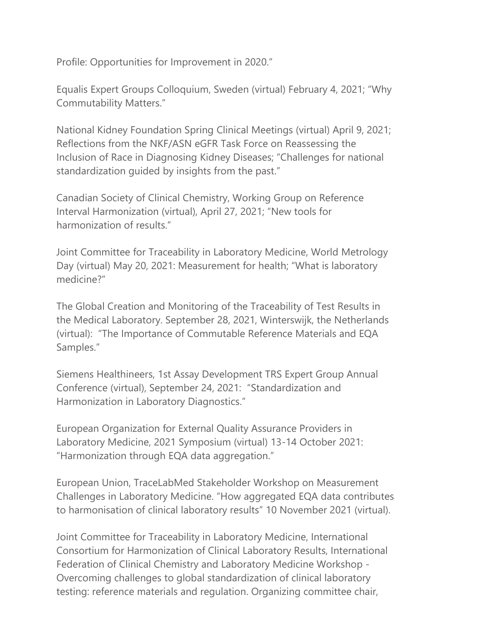Profile: Opportunities for Improvement in 2020."

Equalis Expert Groups Colloquium, Sweden (virtual) February 4, 2021; "Why Commutability Matters."

National Kidney Foundation Spring Clinical Meetings (virtual) April 9, 2021; Reflections from the NKF/ASN eGFR Task Force on Reassessing the Inclusion of Race in Diagnosing Kidney Diseases; "Challenges for national standardization guided by insights from the past."

Canadian Society of Clinical Chemistry, Working Group on Reference Interval Harmonization (virtual), April 27, 2021; "New tools for harmonization of results."

Joint Committee for Traceability in Laboratory Medicine, World Metrology Day (virtual) May 20, 2021: Measurement for health; "What is laboratory medicine?"

The Global Creation and Monitoring of the Traceability of Test Results in the Medical Laboratory. September 28, 2021, Winterswijk, the Netherlands (virtual): "The Importance of Commutable Reference Materials and EQA Samples."

Siemens Healthineers, 1st Assay Development TRS Expert Group Annual Conference (virtual), September 24, 2021: "Standardization and Harmonization in Laboratory Diagnostics."

European Organization for External Quality Assurance Providers in Laboratory Medicine, 2021 Symposium (virtual) 13-14 October 2021: "Harmonization through EQA data aggregation."

European Union, TraceLabMed Stakeholder Workshop on Measurement Challenges in Laboratory Medicine. "How aggregated EQA data contributes to harmonisation of clinical laboratory results" 10 November 2021 (virtual).

Joint Committee for Traceability in Laboratory Medicine, International Consortium for Harmonization of Clinical Laboratory Results, International Federation of Clinical Chemistry and Laboratory Medicine Workshop - Overcoming challenges to global standardization of clinical laboratory testing: reference materials and regulation. Organizing committee chair,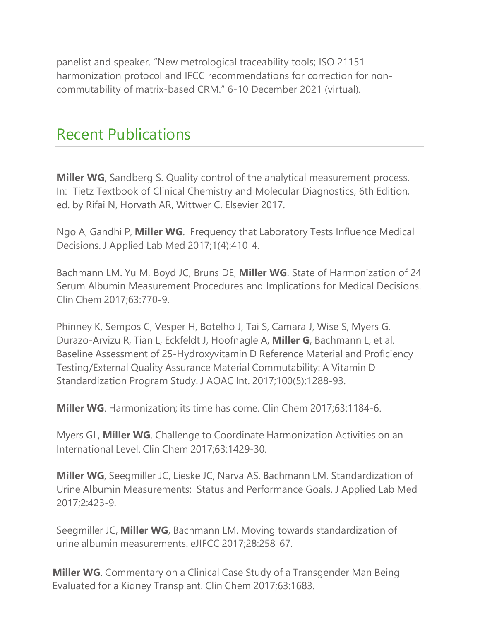panelist and speaker. "New metrological traceability tools; ISO 21151 harmonization protocol and IFCC recommendations for correction for noncommutability of matrix-based CRM." 6-10 December 2021 (virtual).

#### Recent Publications

**Miller WG**, Sandberg S. Quality control of the analytical measurement process. In: Tietz Textbook of Clinical Chemistry and Molecular Diagnostics, 6th Edition, ed. by Rifai N, Horvath AR, Wittwer C. Elsevier 2017.

Ngo A, Gandhi P, **Miller WG**. Frequency that Laboratory Tests Influence Medical Decisions. J Applied Lab Med 2017;1(4):410-4.

Bachmann LM. Yu M, Boyd JC, Bruns DE, **Miller WG**. State of Harmonization of 24 Serum Albumin Measurement Procedures and Implications for Medical Decisions. Clin Chem 2017;63:770-9.

Phinney K, Sempos C, Vesper H, Botelho J, Tai S, Camara J, Wise S, Myers G, Durazo-Arvizu R, Tian L, Eckfeldt J, Hoofnagle A, **Miller G**, Bachmann L, et al. Baseline Assessment of 25-Hydroxyvitamin D Reference Material and Proficiency Testing/External Quality Assurance Material Commutability: A Vitamin D Standardization Program Study. J AOAC Int. 2017;100(5):1288-93.

**Miller WG**. Harmonization; its time has come. Clin Chem 2017;63:1184-6.

Myers GL, **Miller WG**. Challenge to Coordinate Harmonization Activities on an International Level. Clin Chem 2017;63:1429-30.

**Miller WG**, Seegmiller JC, Lieske JC, Narva AS, Bachmann LM. Standardization of Urine Albumin Measurements: Status and Performance Goals. J Applied Lab Med 2017;2:423-9.

Seegmiller JC, **Miller WG**, Bachmann LM. Moving towards standardization of urine albumin measurements. eJIFCC 2017;28:258-67.

**Miller WG**. Commentary on a Clinical Case Study of a Transgender Man Being Evaluated for a Kidney Transplant. Clin Chem 2017;63:1683.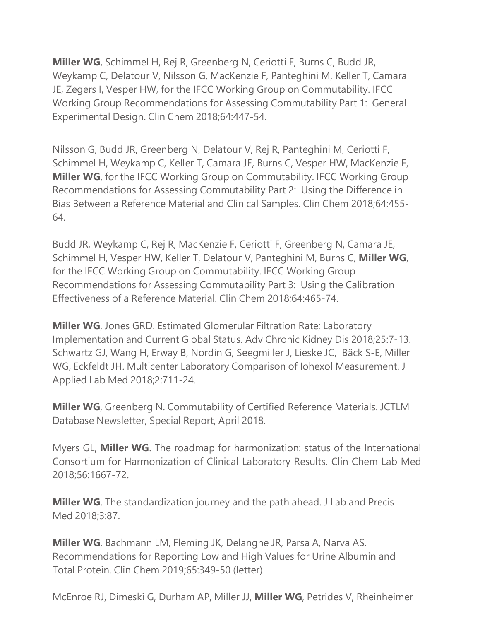**Miller WG**, Schimmel H, Rej R, Greenberg N, Ceriotti F, Burns C, Budd JR, Weykamp C, Delatour V, Nilsson G, MacKenzie F, Panteghini M, Keller T, Camara JE, Zegers I, Vesper HW, for the IFCC Working Group on Commutability. IFCC Working Group Recommendations for Assessing Commutability Part 1: General Experimental Design. Clin Chem 2018;64:447-54.

Nilsson G, Budd JR, Greenberg N, Delatour V, Rej R, Panteghini M, Ceriotti F, Schimmel H, Weykamp C, Keller T, Camara JE, Burns C, Vesper HW, MacKenzie F, **Miller WG**, for the IFCC Working Group on Commutability. IFCC Working Group Recommendations for Assessing Commutability Part 2: Using the Difference in Bias Between a Reference Material and Clinical Samples. Clin Chem 2018;64:455- 64.

Budd JR, Weykamp C, Rej R, MacKenzie F, Ceriotti F, Greenberg N, Camara JE, Schimmel H, Vesper HW, Keller T, Delatour V, Panteghini M, Burns C, **Miller WG**, for the IFCC Working Group on Commutability. IFCC Working Group Recommendations for Assessing Commutability Part 3: Using the Calibration Effectiveness of a Reference Material. Clin Chem 2018;64:465-74.

**Miller WG**, Jones GRD. Estimated Glomerular Filtration Rate; Laboratory Implementation and Current Global Status. Adv Chronic Kidney Dis 2018;25:7-13. Schwartz GJ, Wang H, Erway B, Nordin G, Seegmiller J, Lieske JC, Bäck S-E, Miller WG, Eckfeldt JH. Multicenter Laboratory Comparison of Iohexol Measurement. J Applied Lab Med 2018;2:711-24.

**Miller WG**, Greenberg N. Commutability of Certified Reference Materials. JCTLM Database Newsletter, Special Report, April 2018.

Myers GL, **Miller WG**. The roadmap for harmonization: status of the International Consortium for Harmonization of Clinical Laboratory Results. Clin Chem Lab Med 2018;56:1667-72.

**Miller WG**. The standardization journey and the path ahead. J Lab and Precis Med 2018;3:87.

**Miller WG**, Bachmann LM, Fleming JK, Delanghe JR, Parsa A, Narva AS. Recommendations for Reporting Low and High Values for Urine Albumin and Total Protein. Clin Chem 2019;65:349-50 (letter).

McEnroe RJ, Dimeski G, Durham AP, Miller JJ, **Miller WG**, Petrides V, Rheinheimer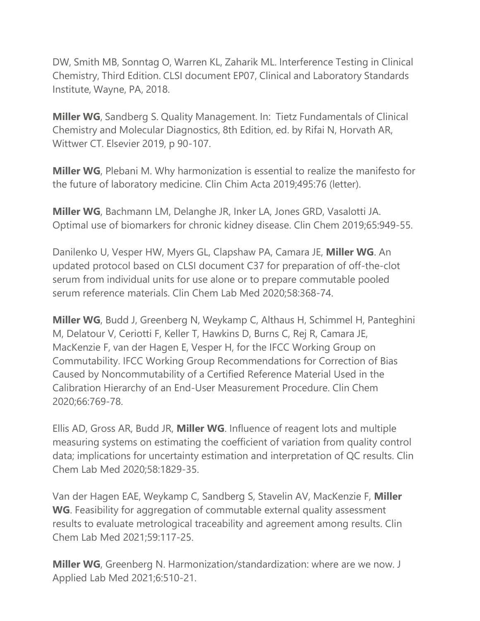DW, Smith MB, Sonntag O, Warren KL, Zaharik ML. Interference Testing in Clinical Chemistry, Third Edition. CLSI document EP07, Clinical and Laboratory Standards Institute, Wayne, PA, 2018.

**Miller WG**, Sandberg S. Quality Management. In: Tietz Fundamentals of Clinical Chemistry and Molecular Diagnostics, 8th Edition, ed. by Rifai N, Horvath AR, Wittwer CT. Elsevier 2019, p 90-107.

**Miller WG**, Plebani M. Why harmonization is essential to realize the manifesto for the future of laboratory medicine. Clin Chim Acta 2019;495:76 (letter).

**Miller WG**, Bachmann LM, Delanghe JR, Inker LA, Jones GRD, Vasalotti JA. Optimal use of biomarkers for chronic kidney disease. Clin Chem 2019;65:949-55.

Danilenko U, Vesper HW, Myers GL, Clapshaw PA, Camara JE, **Miller WG**. An updated protocol based on CLSI document C37 for preparation of off-the-clot serum from individual units for use alone or to prepare commutable pooled serum reference materials. Clin Chem Lab Med 2020;58:368-74.

**Miller WG**, Budd J, Greenberg N, Weykamp C, Althaus H, Schimmel H, Panteghini M, Delatour V, Ceriotti F, Keller T, Hawkins D, Burns C, Rej R, Camara JE, MacKenzie F, van der Hagen E, Vesper H, for the IFCC Working Group on Commutability. IFCC Working Group Recommendations for Correction of Bias Caused by Noncommutability of a Certified Reference Material Used in the Calibration Hierarchy of an End-User Measurement Procedure. Clin Chem 2020;66:769-78.

Ellis AD, Gross AR, Budd JR, **Miller WG**. Influence of reagent lots and multiple measuring systems on estimating the coefficient of variation from quality control data; implications for uncertainty estimation and interpretation of QC results. Clin Chem Lab Med 2020;58:1829-35.

Van der Hagen EAE, Weykamp C, Sandberg S, Stavelin AV, MacKenzie F, **Miller WG**. Feasibility for aggregation of commutable external quality assessment results to evaluate metrological traceability and agreement among results. Clin Chem Lab Med 2021;59:117-25.

**Miller WG**, Greenberg N. Harmonization/standardization: where are we now. J Applied Lab Med 2021;6:510-21.